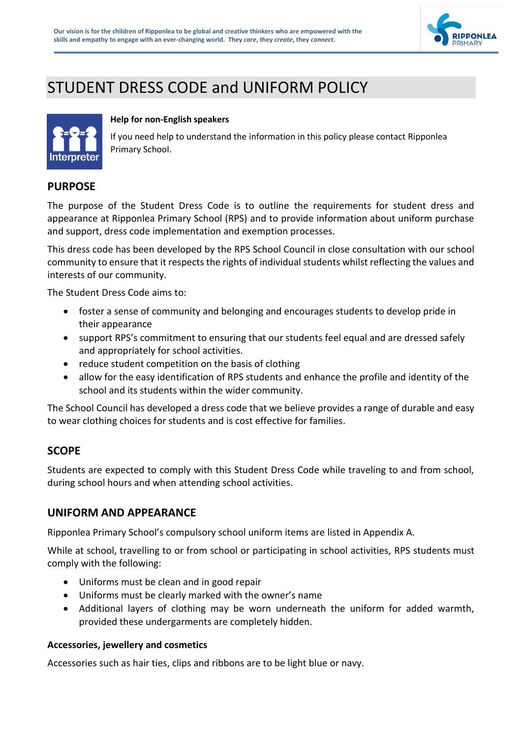

# STUDENT DRESS CODE and UNIFORM POLICY



#### **Help for non-English speakers**

If you need help to understand the information in this policy please contact Ripponlea Primary School.

#### **PURPOSE**

The purpose of the Student Dress Code is to outline the requirements for student dress and appearance at Ripponlea Primary School (RPS) and to provide information about uniform purchase and support, dress code implementation and exemption processes.

This dress code has been developed by the RPS School Council in close consultation with our school community to ensure that it respects the rights of individual students whilst reflecting the values and interests of our community.

The Student Dress Code aims to:

- foster a sense of community and belonging and encourages students to develop pride in their appearance
- support RPS's commitment to ensuring that our students feel equal and are dressed safely and appropriately for school activities.
- reduce student competition on the basis of clothing
- allow for the easy identification of RPS students and enhance the profile and identity of the school and its students within the wider community.

The School Council has developed a dress code that we believe provides a range of durable and easy to wear clothing choices for students and is cost effective for families.

#### **SCOPE**

Students are expected to comply with this Student Dress Code while traveling to and from school, during school hours and when attending school activities.

#### **UNIFORM AND APPEARANCE**

Ripponlea Primary School's compulsory school uniform items are listed in Appendix A.

While at school, travelling to or from school or participating in school activities, RPS students must comply with the following:

- Uniforms must be clean and in good repair
- Uniforms must be clearly marked with the owner's name
- Additional layers of clothing may be worn underneath the uniform for added warmth, provided these undergarments are completely hidden.

#### **Accessories, jewellery and cosmetics**

Accessories such as hair ties, clips and ribbons are to be light blue or navy.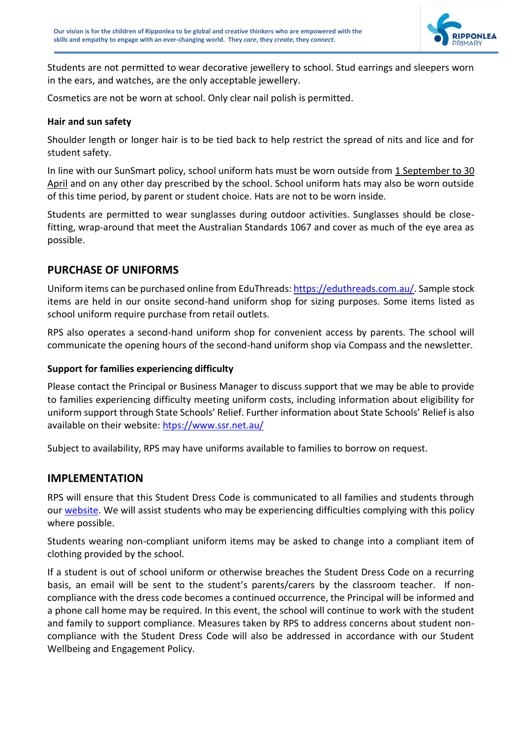

Students are not permitted to wear decorative jewellery to school. Stud earrings and sleepers worn in the ears, and watches, are the only acceptable jewellery.

Cosmetics are not be worn at school. Only clear nail polish is permitted.

#### **Hair and sun safety**

Shoulder length or longer hair is to be tied back to help restrict the spread of nits and lice and for student safety.

In line with our SunSmart policy, school uniform hats must be worn outside from 1 September to 30 April and on any other day prescribed by the school. School uniform hats may also be worn outside of this time period, by parent or student choice. Hats are not to be worn inside.

Students are permitted to wear sunglasses during outdoor activities. Sunglasses should be closefitting, wrap-around that meet the Australian Standards 1067 and cover as much of the eye area as possible.

## **PURCHASE OF UNIFORMS**

Uniform items can be purchased online from EduThreads: [https://eduthreads.com.au/.](https://eduthreads.com.au/) Sample stock items are held in our onsite second-hand uniform shop for sizing purposes. Some items listed as school uniform require purchase from retail outlets.

RPS also operates a second-hand uniform shop for convenient access by parents. The school will communicate the opening hours of the second-hand uniform shop via Compass and the newsletter.

#### **Support for families experiencing difficulty**

Please contact the Principal or Business Manager to discuss support that we may be able to provide to families experiencing difficulty meeting uniform costs, including information about eligibility for uniform support through State Schools' Relief. Further information about State Schools' Relief is also available on their website: [htps://www.ssr.net.au/](https://www.ssr.net.au/)

Subject to availability, RPS may have uniforms available to families to borrow on request.

#### **IMPLEMENTATION**

RPS will ensure that this Student Dress Code is communicated to all families and students through our [website.](https://www.ripponleaps.vic.edu.au/page/230/Policies) We will assist students who may be experiencing difficulties complying with this policy where possible.

Students wearing non-compliant uniform items may be asked to change into a compliant item of clothing provided by the school.

If a student is out of school uniform or otherwise breaches the Student Dress Code on a recurring basis, an email will be sent to the student's parents/carers by the classroom teacher. If noncompliance with the dress code becomes a continued occurrence, the Principal will be informed and a phone call home may be required. In this event, the school will continue to work with the student and family to support compliance. Measures taken by RPS to address concerns about student noncompliance with the Student Dress Code will also be addressed in accordance with our Student Wellbeing and Engagement Policy.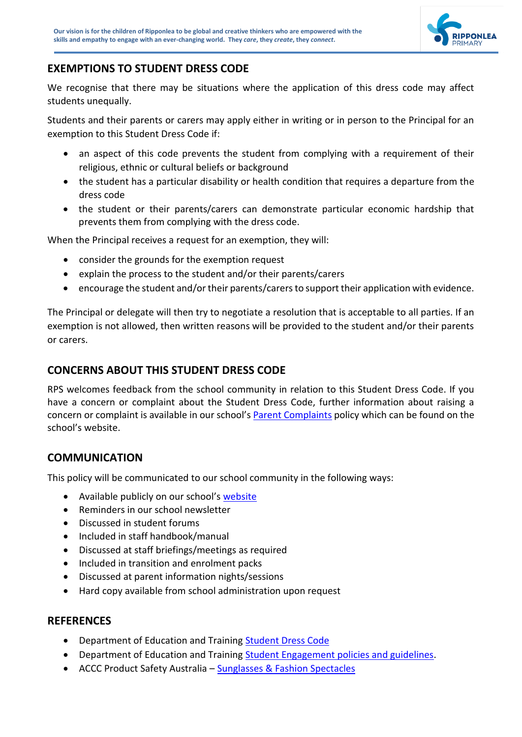

## **EXEMPTIONS TO STUDENT DRESS CODE**

We recognise that there may be situations where the application of this dress code may affect students unequally.

Students and their parents or carers may apply either in writing or in person to the Principal for an exemption to this Student Dress Code if:

- an aspect of this code prevents the student from complying with a requirement of their religious, ethnic or cultural beliefs or background
- the student has a particular disability or health condition that requires a departure from the dress code
- the student or their parents/carers can demonstrate particular economic hardship that prevents them from complying with the dress code.

When the Principal receives a request for an exemption, they will:

- consider the grounds for the exemption request
- explain the process to the student and/or their parents/carers
- encourage the student and/or their parents/carers to support their application with evidence.

The Principal or delegate will then try to negotiate a resolution that is acceptable to all parties. If an exemption is not allowed, then written reasons will be provided to the student and/or their parents or carers.

## **CONCERNS ABOUT THIS STUDENT DRESS CODE**

RPS welcomes feedback from the school community in relation to this Student Dress Code. If you have a concern or complaint about the Student Dress Code, further information about raising a concern or complaint is available in our school's [Parent Complaints](https://www.ripponleaps.vic.edu.au/page/230/Policies) policy which can be found on the school's website.

## **COMMUNICATION**

This policy will be communicated to our school community in the following ways:

- Available publicly on our school's [website](https://www.ripponleaps.vic.edu.au/page/230/Policies)
- Reminders in our school newsletter
- Discussed in student forums
- Included in staff handbook/manual
- Discussed at staff briefings/meetings as required
- Included in transition and enrolment packs
- Discussed at parent information nights/sessions
- Hard copy available from school administration upon request

#### **REFERENCES**

- Department of Education and Training [Student Dress Code](https://www2.education.vic.gov.au/pal/student-dress-code/policy)
- Department of Education and Training [Student Engagement policies and guidelines.](https://www2.education.vic.gov.au/pal/student-dress-code/guidance/developing-and-reviewing-dress-codes)
- ACCC Product Safety Australia [Sunglasses & Fashion Spectacles](https://www.productsafety.gov.au/product-safety-laws/safety-standards-bans/mandatory-standards/sunglasses-fashion-spectacles)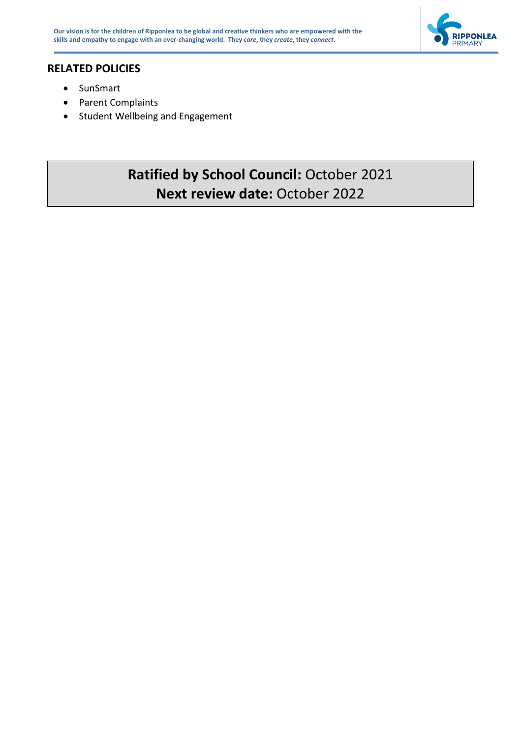



## **RELATED POLICIES**

- SunSmart
- Parent Complaints
- Student Wellbeing and Engagement

## **Ratified by School Council:** October 2021 **Next review date:** October 2022